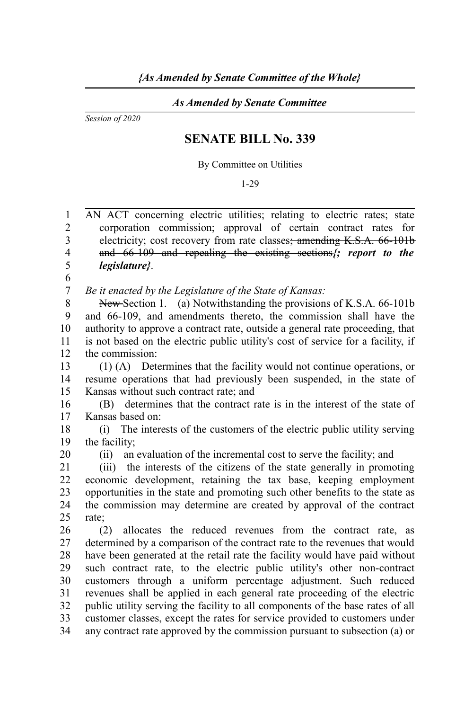## *As Amended by Senate Committee*

*Session of 2020*

## **SENATE BILL No. 339**

By Committee on Utilities

## 1-29

AN ACT concerning electric utilities; relating to electric rates; state corporation commission; approval of certain contract rates for electricity; cost recovery from rate classes; amending K.S.A. 66-101b and 66-109 and repealing the existing sections*{; report to the legislature}*. 1  $\mathfrak{D}$ 3 4 5

*Be it enacted by the Legislature of the State of Kansas:* 6 7

New Section 1. (a) Notwithstanding the provisions of K.S.A. 66-101b and 66-109, and amendments thereto, the commission shall have the authority to approve a contract rate, outside a general rate proceeding, that is not based on the electric public utility's cost of service for a facility, if the commission: 8 9 10 11 12

(1) (A) Determines that the facility would not continue operations, or resume operations that had previously been suspended, in the state of Kansas without such contract rate; and 13 14 15

(B) determines that the contract rate is in the interest of the state of Kansas based on: 16 17

(i) The interests of the customers of the electric public utility serving the facility; 18 19 20

(ii) an evaluation of the incremental cost to serve the facility; and

(iii) the interests of the citizens of the state generally in promoting economic development, retaining the tax base, keeping employment opportunities in the state and promoting such other benefits to the state as the commission may determine are created by approval of the contract rate; 21 22 23  $24$ 25

(2) allocates the reduced revenues from the contract rate, as determined by a comparison of the contract rate to the revenues that would have been generated at the retail rate the facility would have paid without such contract rate, to the electric public utility's other non-contract customers through a uniform percentage adjustment. Such reduced revenues shall be applied in each general rate proceeding of the electric public utility serving the facility to all components of the base rates of all customer classes, except the rates for service provided to customers under any contract rate approved by the commission pursuant to subsection (a) or 26 27 28 29 30 31 32 33 34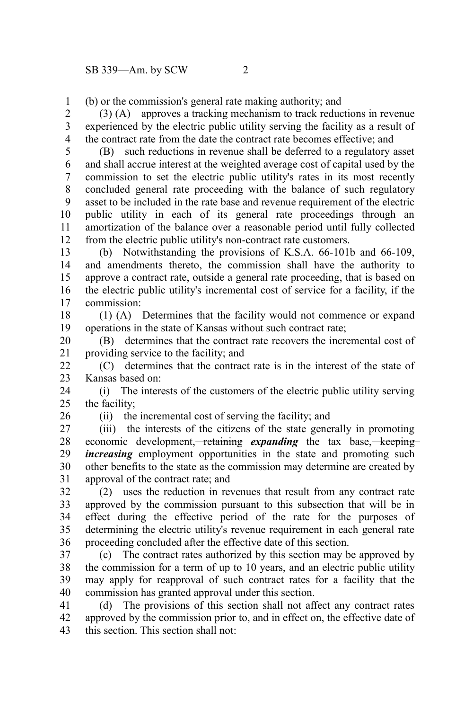(b) or the commission's general rate making authority; and 1

(3) (A) approves a tracking mechanism to track reductions in revenue experienced by the electric public utility serving the facility as a result of the contract rate from the date the contract rate becomes effective; and 2 3 4

(B) such reductions in revenue shall be deferred to a regulatory asset and shall accrue interest at the weighted average cost of capital used by the commission to set the electric public utility's rates in its most recently concluded general rate proceeding with the balance of such regulatory asset to be included in the rate base and revenue requirement of the electric public utility in each of its general rate proceedings through an amortization of the balance over a reasonable period until fully collected from the electric public utility's non-contract rate customers. 5 6 7 8 9 10 11 12

(b) Notwithstanding the provisions of K.S.A. 66-101b and 66-109, and amendments thereto, the commission shall have the authority to approve a contract rate, outside a general rate proceeding, that is based on the electric public utility's incremental cost of service for a facility, if the commission: 13 14 15 16 17

(1) (A) Determines that the facility would not commence or expand operations in the state of Kansas without such contract rate; 18 19

(B) determines that the contract rate recovers the incremental cost of providing service to the facility; and 20 21

(C) determines that the contract rate is in the interest of the state of Kansas based on:  $22$ 23

(i) The interests of the customers of the electric public utility serving the facility; 24  $25$ 

26

(ii) the incremental cost of serving the facility; and

(iii) the interests of the citizens of the state generally in promoting economic development,<del> retaining</del> *expanding* the tax base, keeping *increasing* employment opportunities in the state and promoting such other benefits to the state as the commission may determine are created by approval of the contract rate; and 27 28 29 30 31

(2) uses the reduction in revenues that result from any contract rate approved by the commission pursuant to this subsection that will be in effect during the effective period of the rate for the purposes of determining the electric utility's revenue requirement in each general rate proceeding concluded after the effective date of this section. 32 33 34 35 36

(c) The contract rates authorized by this section may be approved by the commission for a term of up to 10 years, and an electric public utility may apply for reapproval of such contract rates for a facility that the commission has granted approval under this section. 37 38 39 40

(d) The provisions of this section shall not affect any contract rates approved by the commission prior to, and in effect on, the effective date of this section. This section shall not: 41 42 43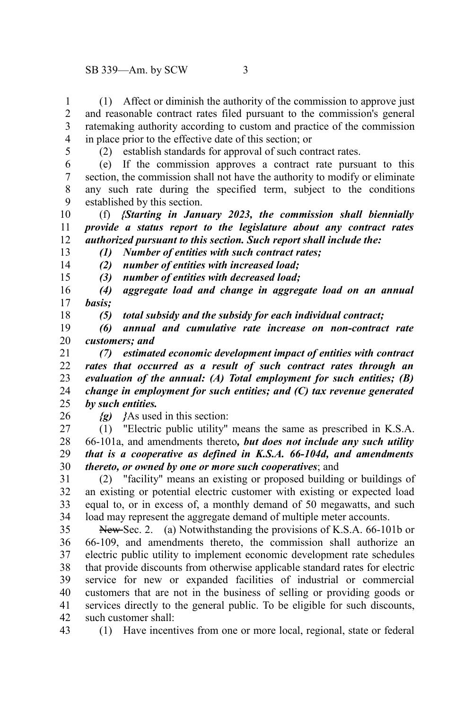(1) Affect or diminish the authority of the commission to approve just and reasonable contract rates filed pursuant to the commission's general ratemaking authority according to custom and practice of the commission in place prior to the effective date of this section; or 1 2 3 4

5

(2) establish standards for approval of such contract rates.

(e) If the commission approves a contract rate pursuant to this section, the commission shall not have the authority to modify or eliminate any such rate during the specified term, subject to the conditions established by this section. 6 7 8 9

(f) *{Starting in January 2023, the commission shall biennially provide a status report to the legislature about any contract rates authorized pursuant to this section. Such report shall include the:* 10 11 12 13

*(1) Number of entities with such contract rates; (2) number of entities with increased load;*

14 15

*(3) number of entities with decreased load;*

*(4) aggregate load and change in aggregate load on an annual basis;* 16 17

18

*(5) total subsidy and the subsidy for each individual contract;*

*(6) annual and cumulative rate increase on non-contract rate customers; and* 19 20

*(7) estimated economic development impact of entities with contract rates that occurred as a result of such contract rates through an evaluation of the annual: (A) Total employment for such entities; (B) change in employment for such entities; and (C) tax revenue generated by such entities.* 21 22 23 24 25

26

*{g) }*As used in this section:

(1) "Electric public utility" means the same as prescribed in K.S.A. 66-101a, and amendments thereto*, but does not include any such utility that is a cooperative as defined in K.S.A. 66-104d, and amendments thereto, or owned by one or more such cooperatives*; and 27 28 29 30

(2) "facility" means an existing or proposed building or buildings of an existing or potential electric customer with existing or expected load equal to, or in excess of, a monthly demand of 50 megawatts, and such load may represent the aggregate demand of multiple meter accounts. 31 32 33 34

New Sec. 2. (a) Notwithstanding the provisions of K.S.A. 66-101b or 66-109, and amendments thereto, the commission shall authorize an electric public utility to implement economic development rate schedules that provide discounts from otherwise applicable standard rates for electric service for new or expanded facilities of industrial or commercial customers that are not in the business of selling or providing goods or services directly to the general public. To be eligible for such discounts, such customer shall: 35 36 37 38 39 40 41 42

43

(1) Have incentives from one or more local, regional, state or federal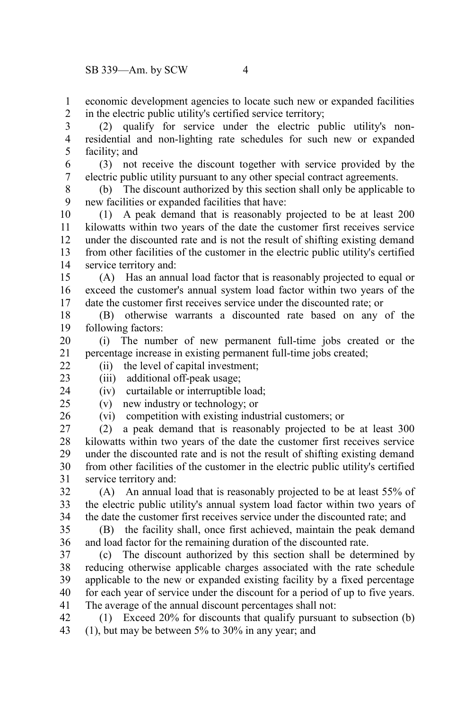economic development agencies to locate such new or expanded facilities in the electric public utility's certified service territory; 1 2

(2) qualify for service under the electric public utility's nonresidential and non-lighting rate schedules for such new or expanded facility; and 3 4 5

(3) not receive the discount together with service provided by the electric public utility pursuant to any other special contract agreements. 6 7

(b) The discount authorized by this section shall only be applicable to new facilities or expanded facilities that have: 8 9

(1) A peak demand that is reasonably projected to be at least 200 kilowatts within two years of the date the customer first receives service under the discounted rate and is not the result of shifting existing demand from other facilities of the customer in the electric public utility's certified service territory and: 10 11 12 13 14

(A) Has an annual load factor that is reasonably projected to equal or exceed the customer's annual system load factor within two years of the date the customer first receives service under the discounted rate; or 15 16 17

(B) otherwise warrants a discounted rate based on any of the following factors: 18 19

(i) The number of new permanent full-time jobs created or the percentage increase in existing permanent full-time jobs created; 20 21

(ii) the level of capital investment; 22

23

24

(iii) additional off-peak usage; (iv) curtailable or interruptible load;

(v) new industry or technology; or  $25$ 

26

(vi) competition with existing industrial customers; or

(2) a peak demand that is reasonably projected to be at least 300 kilowatts within two years of the date the customer first receives service under the discounted rate and is not the result of shifting existing demand from other facilities of the customer in the electric public utility's certified service territory and: 27 28 29 30 31

(A) An annual load that is reasonably projected to be at least 55% of the electric public utility's annual system load factor within two years of the date the customer first receives service under the discounted rate; and 32 33 34

(B) the facility shall, once first achieved, maintain the peak demand and load factor for the remaining duration of the discounted rate. 35 36

(c) The discount authorized by this section shall be determined by reducing otherwise applicable charges associated with the rate schedule applicable to the new or expanded existing facility by a fixed percentage for each year of service under the discount for a period of up to five years. The average of the annual discount percentages shall not: 37 38 39 40 41

(1) Exceed 20% for discounts that qualify pursuant to subsection (b) (1), but may be between 5% to 30% in any year; and 42 43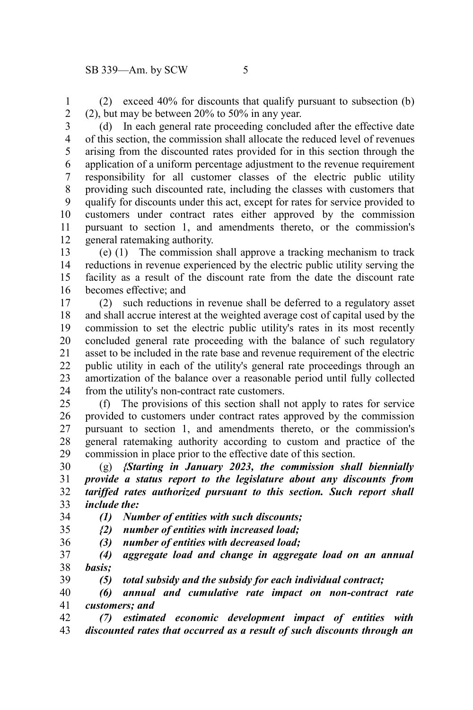(2) exceed 40% for discounts that qualify pursuant to subsection (b) (2), but may be between 20% to 50% in any year. 1 2

(d) In each general rate proceeding concluded after the effective date of this section, the commission shall allocate the reduced level of revenues arising from the discounted rates provided for in this section through the application of a uniform percentage adjustment to the revenue requirement responsibility for all customer classes of the electric public utility providing such discounted rate, including the classes with customers that qualify for discounts under this act, except for rates for service provided to customers under contract rates either approved by the commission pursuant to section 1, and amendments thereto, or the commission's general ratemaking authority. 3 4 5 6 7 8 9 10 11 12

(e) (1) The commission shall approve a tracking mechanism to track reductions in revenue experienced by the electric public utility serving the facility as a result of the discount rate from the date the discount rate becomes effective; and 13 14 15 16

(2) such reductions in revenue shall be deferred to a regulatory asset and shall accrue interest at the weighted average cost of capital used by the commission to set the electric public utility's rates in its most recently concluded general rate proceeding with the balance of such regulatory asset to be included in the rate base and revenue requirement of the electric public utility in each of the utility's general rate proceedings through an amortization of the balance over a reasonable period until fully collected from the utility's non-contract rate customers. 17 18 19 20 21 22 23 24

(f) The provisions of this section shall not apply to rates for service provided to customers under contract rates approved by the commission pursuant to section 1, and amendments thereto, or the commission's general ratemaking authority according to custom and practice of the commission in place prior to the effective date of this section. 25 26 27 28 29

(g) *{Starting in January 2023, the commission shall biennially provide a status report to the legislature about any discounts from tariffed rates authorized pursuant to this section. Such report shall include the:* 30 31 32 33

*(1) Number of entities with such discounts;* 34

*{2) number of entities with increased load;* 35

*(3) number of entities with decreased load;* 36

*(4) aggregate load and change in aggregate load on an annual basis;* 37 38

*(5) total subsidy and the subsidy for each individual contract;* 39

*(6) annual and cumulative rate impact on non-contract rate customers; and* 40 41

*(7) estimated economic development impact of entities with discounted rates that occurred as a result of such discounts through an* 42 43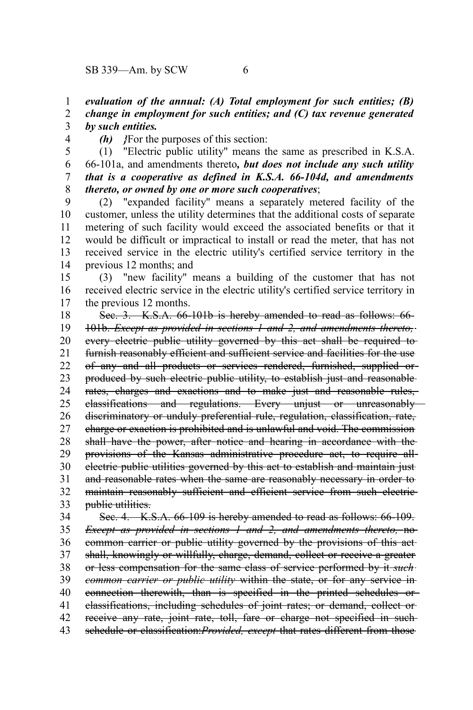*evaluation of the annual: (A) Total employment for such entities; (B) change in employment for such entities; and (C) tax revenue generated by such entities.* 1 2 3

4

*(h) }*For the purposes of this section:

(1) "Electric public utility" means the same as prescribed in K.S.A. 66-101a, and amendments thereto*, but does not include any such utility that is a cooperative as defined in K.S.A. 66-104d, and amendments thereto, or owned by one or more such cooperatives*; 5 6 7 8

(2) "expanded facility" means a separately metered facility of the customer, unless the utility determines that the additional costs of separate metering of such facility would exceed the associated benefits or that it would be difficult or impractical to install or read the meter, that has not received service in the electric utility's certified service territory in the previous 12 months; and 9 10 11 12 13 14

(3) "new facility" means a building of the customer that has not received electric service in the electric utility's certified service territory in the previous 12 months. 15 16 17

Sec. 3. K.S.A. 66-101b is hereby amended to read as follows: 66- 101b. *Except as provided in sections 1 and 2, and amendments thereto,* every electric public utility governed by this act shall be required to furnish reasonably efficient and sufficient service and facilities for the use of any and all products or services rendered, furnished, supplied or produced by such electric public utility, to establish just and reasonable rates, charges and exactions and to make just and reasonable rules, classifications and regulations. Every unjust or unreasonably discriminatory or unduly preferential rule, regulation, classification, rate, charge or exaction is prohibited and is unlawful and void. The commission shall have the power, after notice and hearing in accordance with the provisions of the Kansas administrative procedure act, to require all electric public utilities governed by this act to establish and maintain just and reasonable rates when the same are reasonably necessary in order to maintain reasonably sufficient and efficient service from such electricpublic utilities. Sec. 4. K.S.A. 66-109 is hereby amended to read as follows: 66-109. *Except as provided in sections 1 and 2, and amendments thereto,* no common carrier or public utility governed by the provisions of this act 18 19 20 21 22 23 24 25 26 27 28 29 30 31 32 33 34 35 36

shall, knowingly or willfully, charge, demand, collect or receive a greater or less compensation for the same class of service performed by it *such* 37 38

*common carrier or public utility* within the state, or for any service in 39

connection therewith, than is specified in the printed schedules or 40

classifications, including schedules of joint rates; or demand, collect or 41

receive any rate, joint rate, toll, fare or charge not specified in such-42

schedule or classification:*Provided, except* that rates different from those 43